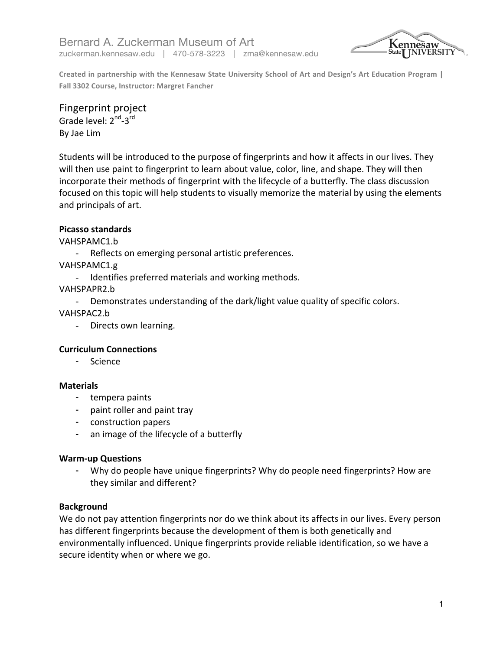Bernard A. Zuckerman Museum of Art zuckerman.kennesaw.edu | 470-578-3223 | zma@kennesaw.edu



Created in partnership with the Kennesaw State University School of Art and Design's Art Education Program | Fall 3302 Course, Instructor: Margret Fancher

## Fingerprint project

Grade level: 2<sup>nd</sup>-3<sup>rd</sup> By Jae Lim

Students will be introduced to the purpose of fingerprints and how it affects in our lives. They will then use paint to fingerprint to learn about value, color, line, and shape. They will then incorporate their methods of fingerprint with the lifecycle of a butterfly. The class discussion focused on this topic will help students to visually memorize the material by using the elements and principals of art.

# **Picasso standards**

VAHSPAMC1.b 

- Reflects on emerging personal artistic preferences.

VAHSPAMC1.g 

Identifies preferred materials and working methods.

VAHSPAPR2.b 

- Demonstrates understanding of the dark/light value quality of specific colors.

VAHSPAC2.b 

- Directs own learning.

## **Curriculum Connections**

- Science

## **Materials**

- tempera paints
- paint roller and paint tray
- construction papers
- an image of the lifecycle of a butterfly

## **Warm-up Questions**

- Why do people have unique fingerprints? Why do people need fingerprints? How are they similar and different?

## **Background**

We do not pay attention fingerprints nor do we think about its affects in our lives. Every person has different fingerprints because the development of them is both genetically and environmentally influenced. Unique fingerprints provide reliable identification, so we have a secure identity when or where we go.